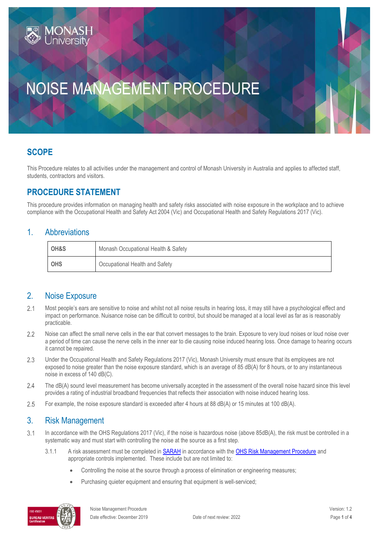# NOISE MANAGEMENT PROCEDURE

## **SCOPE**

This Procedure relates to all activities under the management and control of Monash University in Australia and applies to affected staff, students, contractors and visitors.

## **PROCEDURE STATEMENT**

This procedure provides information on managing health and safety risks associated with noise exposure in the workplace and to achieve compliance with the Occupational Health and Safety Act 2004 (Vic) and Occupational Health and Safety Regulations 2017 (Vic).

#### 1. Abbreviations

| OH&S       | Monash Occupational Health & Safety |
|------------|-------------------------------------|
| <b>OHS</b> | Occupational Health and Safety      |

#### 2. Noise Exposure

- $2.1$ Most people's ears are sensitive to noise and whilst not all noise results in hearing loss, it may still have a psychological effect and impact on performance. Nuisance noise can be difficult to control, but should be managed at a local level as far as is reasonably practicable.
- $2.2$ Noise can affect the small nerve cells in the ear that convert messages to the brain. Exposure to very loud noises or loud noise over a period of time can cause the nerve cells in the inner ear to die causing noise induced hearing loss. Once damage to hearing occurs it cannot be repaired.
- $2.3$ Under the Occupational Health and Safety Regulations 2017 (Vic), Monash University must ensure that its employees are not exposed to noise greater than the noise exposure standard, which is an average of 85 dB(A) for 8 hours, or to any instantaneous noise in excess of 140 dB(C).
- $2.4$ The dB(A) sound level measurement has become universally accepted in the assessment of the overall noise hazard since this level provides a rating of industrial broadband frequencies that reflects their association with noise induced hearing loss.
- 2.5 For example, the noise exposure standard is exceeded after 4 hours at 88 dB(A) or 15 minutes at 100 dB(A).

#### 3. Risk Management

- $3.1$ In accordance with the OHS Regulations 2017 (Vic), if the noise is hazardous noise (above 85dB(A), the risk must be controlled in a systematic way and must start with controlling the noise at the source as a first step.
	- 3.1.1 A risk assessment must be completed in [SARAH](https://www.monash.edu/ohs/report-incident-hazard/risk-management) in accordance with th[e OHS Risk Management Procedure](https://publicpolicydms.monash.edu/Monash/documents/1935636) and appropriate controls implemented. These include but are not limited to:
		- Controlling the noise at the source through a process of elimination or engineering measures;
		- Purchasing quieter equipment and ensuring that equipment is well-serviced;

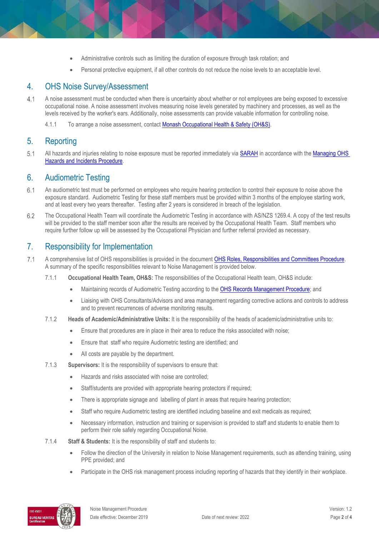- Administrative controls such as limiting the duration of exposure through task rotation; and
- Personal protective equipment, if all other controls do not reduce the noise levels to an acceptable level.

#### 4. OHS Noise Survey/Assessment

- $4.1$ A noise assessment must be conducted when there is uncertainty about whether or not employees are being exposed to excessive occupational noise. A noise assessment involves measuring noise levels generated by machinery and processes, as well as the levels received by the worker's ears. Additionally, noise assessments can provide valuable information for controlling noise.
	- 4.1.1 To arrange a noise assessment, contact **Monash Occupational Health & Safety (OH&S)**.

#### 5. Reporting

 $5.1$ All hazards and injuries relating to noise exposure must be reported immediately via [SARAH](https://www.monash.edu/ohs/report-incident-hazard) in accordance with the Managing OHS [Hazards and Incidents Procedure.](https://publicpolicydms.monash.edu/Monash/documents/1935623)

#### 6. Audiometric Testing

- $6.1$ An audiometric test must be performed on employees who require hearing protection to control their exposure to noise above the exposure standard. Audiometric Testing for these staff members must be provided within 3 months of the employee starting work, and at least every two years thereafter. Testing after 2 years is considered in breach of the legislation.
- 6.2 The Occupational Health Team will coordinate the Audiometric Testing in accordance with AS/NZS 1269.4. A copy of the test results will be provided to the staff member soon after the results are received by the Occupational Health Team. Staff members who require further follow up will be assessed by the Occupational Physician and further referral provided as necessary.

#### 7. Responsibility for Implementation

- $7.1$ A comprehensive list of OHS responsibilities is provided in the documen[t OHS Roles, Responsibilities and Committees Procedure.](https://publicpolicydms.monash.edu/Monash/documents/1935644)  A summary of the specific responsibilities relevant to Noise Management is provided below.
	- 7.1.1 **Occupational Health Team, OH&S:** The responsibilities of the Occupational Health team, OH&S include:
		- Maintaining records of Audiometric Testing according to the [OHS Records Management Procedure;](https://publicpolicydms.monash.edu/Monash/documents/1935642) and
		- Liaising with OHS Consultants/Advisors and area management regarding corrective actions and controls to address and to prevent recurrences of adverse monitoring results.
	- 7.1.2 **Heads of Academic/Administrative Units:** It is the responsibility of the heads of academic/administrative units to:
		- Ensure that procedures are in place in their area to reduce the risks associated with noise;
		- Ensure that staff who require Audiometric testing are identified; and
		- All costs are payable by the department.
	- 7.1.3 **Supervisors:** It is the responsibility of supervisors to ensure that:
		- Hazards and risks associated with noise are controlled;
		- Staff/students are provided with appropriate hearing protectors if required;
		- There is appropriate signage and labelling of plant in areas that require hearing protection;
		- Staff who require Audiometric testing are identified including baseline and exit medicals as required;
		- Necessary information, instruction and training or supervision is provided to staff and students to enable them to perform their role safely regarding Occupational Noise.
	- 7.1.4 **Staff & Students:** It is the responsibility of staff and students to:
		- Follow the direction of the University in relation to Noise Management requirements, such as attending training, using PPE provided; and
		- Participate in the OHS risk management process including reporting of hazards that they identify in their workplace.

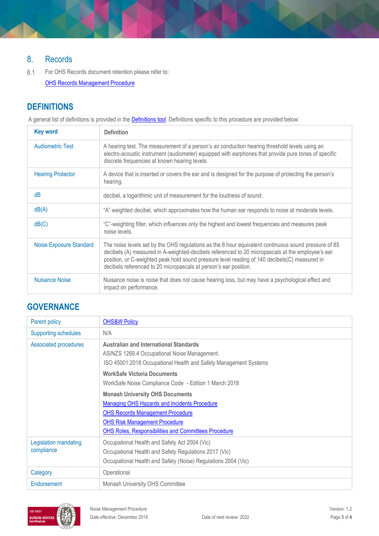## 8. Records

For OHS Records document retention please refer to:  $8.1$ [OHS Records Management Procedure](https://publicpolicydms.monash.edu/Monash/documents/1935642)

## **DEFINITIONS**

A general list of definitions is provided in the **Definitions tool**. Definitions specific to this procedure are provided below:

| <b>Key word</b>                | <b>Definition</b>                                                                                                                                                                                                                                                                                                                                                             |
|--------------------------------|-------------------------------------------------------------------------------------------------------------------------------------------------------------------------------------------------------------------------------------------------------------------------------------------------------------------------------------------------------------------------------|
| <b>Audiometric Test</b>        | A hearing test. The measurement of a person's air conduction hearing threshold levels using an<br>electro-acoustic instrument (audiometer) equipped with earphones that provide pure tones of specific<br>discrete frequencies at known hearing levels.                                                                                                                       |
| <b>Hearing Protector</b>       | A device that is inserted or covers the ear and is designed for the purpose of protecting the person's<br>hearing.                                                                                                                                                                                                                                                            |
| dB                             | decibel, a logarithmic unit of measurement for the loudness of sound.                                                                                                                                                                                                                                                                                                         |
| dB(A)                          | "A" weighted decibel, which approximates how the human ear responds to noise at moderate levels.                                                                                                                                                                                                                                                                              |
| dB(C)                          | "C"-weighting filter, which influences only the highest and lowest frequencies and measures peak<br>noise levels.                                                                                                                                                                                                                                                             |
| <b>Noise Exposure Standard</b> | The noise levels set by the OHS regulations as the 8 hour equivalent continuous sound pressure of 85<br>decibels (A) measured in A-weighted-decibels referenced to 20 micropascals at the employee's ear<br>position, or C-weighted peak hold sound pressure level reading of 140 decibels(C) measured in<br>decibels referenced to 20 micropascals at person's ear position. |
| Nuisance Noise                 | Nuisance noise is noise that does not cause hearing loss, but may have a psychological effect and<br>impact on performance.                                                                                                                                                                                                                                                   |

### **GOVERNANCE**

| Parent policy                              | <b>OHS&amp;W Policy</b>                                                                                                                                                                                                                  |  |
|--------------------------------------------|------------------------------------------------------------------------------------------------------------------------------------------------------------------------------------------------------------------------------------------|--|
| <b>Supporting schedules</b>                | N/A                                                                                                                                                                                                                                      |  |
| <b>Associated procedures</b>               | <b>Australian and International Standards</b><br>AS/NZS 1269.4 Occupational Noise Management.<br>ISO 45001:2018 Occupational Health and Safety Management Systems                                                                        |  |
|                                            | <b>WorkSafe Victoria Documents</b><br>WorkSafe Noise Compliance Code - Edition 1 March 2018                                                                                                                                              |  |
|                                            | <b>Monash University OHS Documents</b><br>Managing OHS Hazards and Incidents Procedure<br><b>OHS Records Management Procedure</b><br><b>OHS Risk Management Procedure</b><br><b>OHS Roles, Responsibilities and Committees Procedure</b> |  |
| <b>Legislation mandating</b><br>compliance | Occupational Health and Safety Act 2004 (Vic)<br>Occupational Health and Safety Regulations 2017 (Vic)<br>Occupational Health and Safety (Noise) Regulations 2004 (Vic)                                                                  |  |
| Category                                   | Operational                                                                                                                                                                                                                              |  |
| Endorsement                                | Monash University OHS Committee                                                                                                                                                                                                          |  |